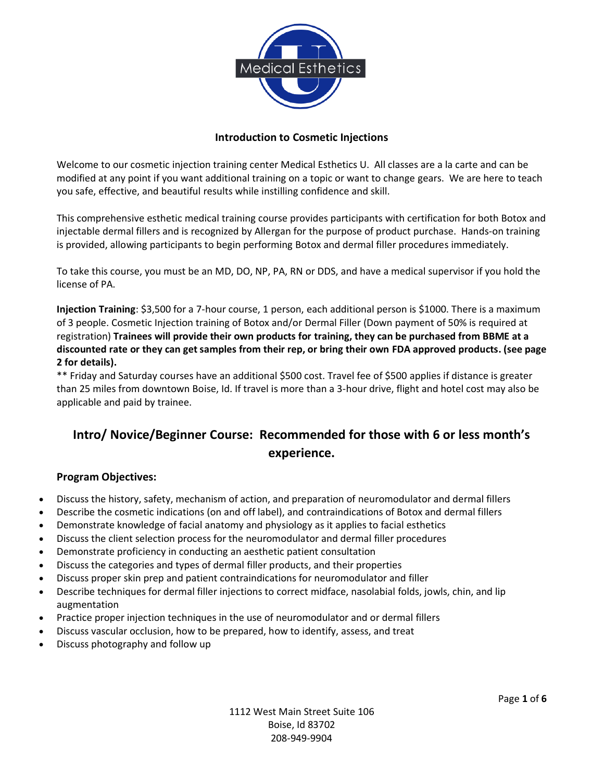

### **Introduction to Cosmetic Injections**

Welcome to our cosmetic injection training center Medical Esthetics U. All classes are a la carte and can be modified at any point if you want additional training on a topic or want to change gears. We are here to teach you safe, effective, and beautiful results while instilling confidence and skill.

This comprehensive esthetic medical training course provides participants with certification for both Botox and injectable dermal fillers and is recognized by Allergan for the purpose of product purchase. Hands-on training is provided, allowing participants to begin performing Botox and dermal filler procedures immediately.

To take this course, you must be an MD, DO, NP, PA, RN or DDS, and have a medical supervisor if you hold the license of PA.

**Injection Training**: \$3,500 for a 7-hour course, 1 person, each additional person is \$1000. There is a maximum of 3 people. Cosmetic Injection training of Botox and/or Dermal Filler (Down payment of 50% is required at registration) **Trainees will provide their own products for training, they can be purchased from BBME at a discounted rate or they can get samples from their rep, or bring their own FDA approved products. (see page 2 for details).**

\*\* Friday and Saturday courses have an additional \$500 cost. Travel fee of \$500 applies if distance is greater than 25 miles from downtown Boise, Id. If travel is more than a 3-hour drive, flight and hotel cost may also be applicable and paid by trainee.

## **Intro/ Novice/Beginner Course: Recommended for those with 6 or less month's experience.**

### **Program Objectives:**

- Discuss the history, safety, mechanism of action, and preparation of neuromodulator and dermal fillers
- Describe the cosmetic indications (on and off label), and contraindications of Botox and dermal fillers
- Demonstrate knowledge of facial anatomy and physiology as it applies to facial esthetics
- Discuss the client selection process for the neuromodulator and dermal filler procedures
- Demonstrate proficiency in conducting an aesthetic patient consultation
- Discuss the categories and types of dermal filler products, and their properties
- Discuss proper skin prep and patient contraindications for neuromodulator and filler
- Describe techniques for dermal filler injections to correct midface, nasolabial folds, jowls, chin, and lip augmentation
- Practice proper injection techniques in the use of neuromodulator and or dermal fillers
- Discuss vascular occlusion, how to be prepared, how to identify, assess, and treat
- Discuss photography and follow up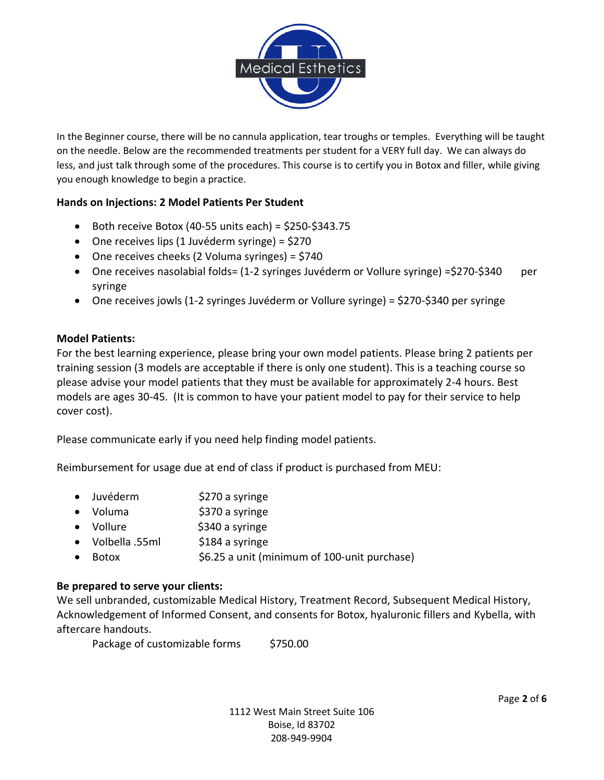

In the Beginner course, there will be no cannula application, tear troughs or temples. Everything will be taught on the needle. Below are the recommended treatments per student for a VERY full day. We can always do less, and just talk through some of the procedures. This course is to certify you in Botox and filler, while giving you enough knowledge to begin a practice.

### **Hands on Injections: 2 Model Patients Per Student**

- Both receive Botox (40-55 units each) = \$250-\$343.75
- One receives lips (1 Juvéderm syringe) = \$270
- One receives cheeks (2 Voluma syringes) = \$740
- One receives nasolabial folds= (1-2 syringes Juvéderm or Vollure syringe) = \$270-\$340 per syringe
- One receives jowls (1-2 syringes Juvéderm or Vollure syringe) = \$270-\$340 per syringe

### **Model Patients:**

For the best learning experience, please bring your own model patients. Please bring 2 patients per training session (3 models are acceptable if there is only one student). This is a teaching course so please advise your model patients that they must be available for approximately 2-4 hours. Best models are ages 30-45. (It is common to have your patient model to pay for their service to help cover cost).

Please communicate early if you need help finding model patients.

Reimbursement for usage due at end of class if product is purchased from MEU:

- Juvéderm \$270 a syringe
- Voluma **\$370** a syringe
- Vollure \$340 a syringe
- Volbella .55ml \$184 a syringe
- Botox \$6.25 a unit (minimum of 100-unit purchase)

### **Be prepared to serve your clients:**

We sell unbranded, customizable Medical History, Treatment Record, Subsequent Medical History, Acknowledgement of Informed Consent, and consents for Botox, hyaluronic fillers and Kybella, with aftercare handouts.

Package of customizable forms \$750.00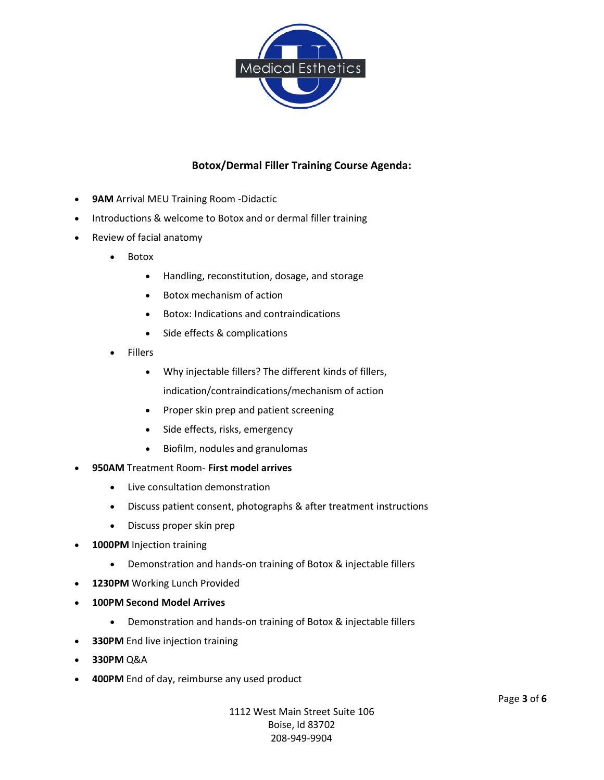

### **Botox/Dermal Filler Training Course Agenda:**

- **9AM** Arrival MEU Training Room -Didactic
- Introductions & welcome to Botox and or dermal filler training
- Review of facial anatomy
	- Botox
		- Handling, reconstitution, dosage, and storage
		- Botox mechanism of action
		- Botox: Indications and contraindications
		- Side effects & complications
	- **Fillers** 
		- Why injectable fillers? The different kinds of fillers, indication/contraindications/mechanism of action
		- Proper skin prep and patient screening
		- Side effects, risks, emergency
		- Biofilm, nodules and granulomas
- **950AM** Treatment Room- **First model arrives**
	- Live consultation demonstration
	- Discuss patient consent, photographs & after treatment instructions
	- Discuss proper skin prep
- **1000PM** Injection training
	- Demonstration and hands-on training of Botox & injectable fillers
- 1230PM Working Lunch Provided
- **100PM Second Model Arrives**
	- Demonstration and hands-on training of Botox & injectable fillers
- **330PM** End live injection training
- **330PM** Q&A
- **400PM** End of day, reimburse any used product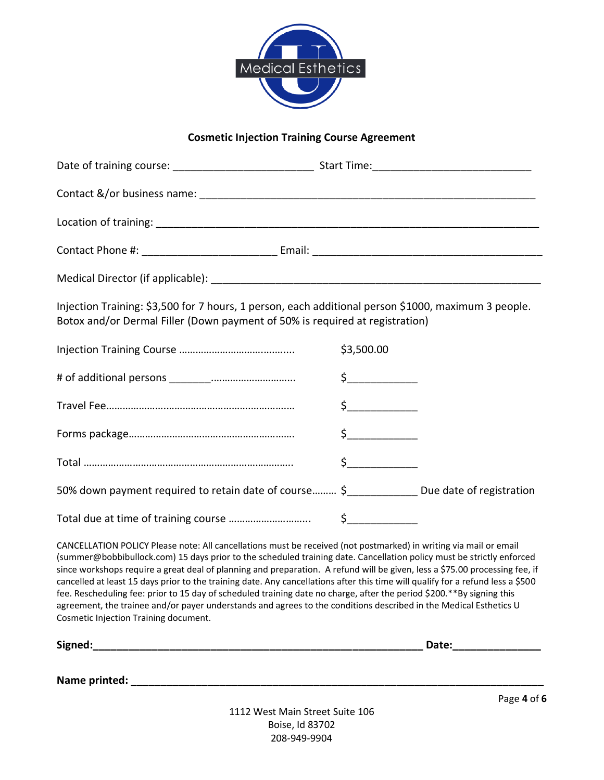

### **Cosmetic Injection Training Course Agreement**

| Injection Training: \$3,500 for 7 hours, 1 person, each additional person \$1000, maximum 3 people.<br>Botox and/or Dermal Filler (Down payment of 50% is required at registration)                                                                                                                                                                                                                                                                                                                                                                                                                                                                                                                                                                                                                 |                                                                                                                                                                                                                                                                                                                                                                                                                                                                                                                                                                                                                                                                                                                                                |
|-----------------------------------------------------------------------------------------------------------------------------------------------------------------------------------------------------------------------------------------------------------------------------------------------------------------------------------------------------------------------------------------------------------------------------------------------------------------------------------------------------------------------------------------------------------------------------------------------------------------------------------------------------------------------------------------------------------------------------------------------------------------------------------------------------|------------------------------------------------------------------------------------------------------------------------------------------------------------------------------------------------------------------------------------------------------------------------------------------------------------------------------------------------------------------------------------------------------------------------------------------------------------------------------------------------------------------------------------------------------------------------------------------------------------------------------------------------------------------------------------------------------------------------------------------------|
|                                                                                                                                                                                                                                                                                                                                                                                                                                                                                                                                                                                                                                                                                                                                                                                                     | \$3,500.00                                                                                                                                                                                                                                                                                                                                                                                                                                                                                                                                                                                                                                                                                                                                     |
|                                                                                                                                                                                                                                                                                                                                                                                                                                                                                                                                                                                                                                                                                                                                                                                                     | $\begin{picture}(20,20) \put(0,0){\line(1,0){10}} \put(15,0){\line(1,0){10}} \put(15,0){\line(1,0){10}} \put(15,0){\line(1,0){10}} \put(15,0){\line(1,0){10}} \put(15,0){\line(1,0){10}} \put(15,0){\line(1,0){10}} \put(15,0){\line(1,0){10}} \put(15,0){\line(1,0){10}} \put(15,0){\line(1,0){10}} \put(15,0){\line(1,0){10}} \put(15,0){\line(1$                                                                                                                                                                                                                                                                                                                                                                                            |
|                                                                                                                                                                                                                                                                                                                                                                                                                                                                                                                                                                                                                                                                                                                                                                                                     | $\mathsf{S}$ . The same set of $\mathsf{S}$                                                                                                                                                                                                                                                                                                                                                                                                                                                                                                                                                                                                                                                                                                    |
|                                                                                                                                                                                                                                                                                                                                                                                                                                                                                                                                                                                                                                                                                                                                                                                                     | $\begin{array}{c} \n \uparrow \quad \quad \quad \downarrow \quad \quad \quad \quad \downarrow \quad \quad \quad \quad \downarrow \quad \quad \quad \downarrow \quad \quad \quad \downarrow \quad \quad \downarrow \quad \quad \downarrow \quad \quad \downarrow \quad \quad \downarrow \quad \quad \downarrow \quad \quad \downarrow \quad \quad \downarrow \quad \quad \downarrow \quad \quad \downarrow \quad \quad \downarrow \quad \quad \downarrow \quad \downarrow \quad \downarrow \quad \downarrow \quad \downarrow \quad \downarrow \quad \downarrow \quad \downarrow \quad \downarrow \quad \downarrow \quad \downarrow \quad \downarrow \quad \downarrow \quad \downarrow \quad \downarrow \quad \downarrow \quad \downarrow \quad$ |
|                                                                                                                                                                                                                                                                                                                                                                                                                                                                                                                                                                                                                                                                                                                                                                                                     | $\begin{picture}(20,20) \put(0,0){\line(1,0){10}} \put(15,0){\line(1,0){10}} \put(15,0){\line(1,0){10}} \put(15,0){\line(1,0){10}} \put(15,0){\line(1,0){10}} \put(15,0){\line(1,0){10}} \put(15,0){\line(1,0){10}} \put(15,0){\line(1,0){10}} \put(15,0){\line(1,0){10}} \put(15,0){\line(1,0){10}} \put(15,0){\line(1,0){10}} \put(15,0){\line(1$                                                                                                                                                                                                                                                                                                                                                                                            |
| 50% down payment required to retain date of course \$______________ Due date of registration                                                                                                                                                                                                                                                                                                                                                                                                                                                                                                                                                                                                                                                                                                        |                                                                                                                                                                                                                                                                                                                                                                                                                                                                                                                                                                                                                                                                                                                                                |
|                                                                                                                                                                                                                                                                                                                                                                                                                                                                                                                                                                                                                                                                                                                                                                                                     |                                                                                                                                                                                                                                                                                                                                                                                                                                                                                                                                                                                                                                                                                                                                                |
| CANCELLATION POLICY Please note: All cancellations must be received (not postmarked) in writing via mail or email<br>(summer@bobbibullock.com) 15 days prior to the scheduled training date. Cancellation policy must be strictly enforced<br>since workshops require a great deal of planning and preparation. A refund will be given, less a \$75.00 processing fee, if<br>cancelled at least 15 days prior to the training date. Any cancellations after this time will qualify for a refund less a \$500<br>fee. Rescheduling fee: prior to 15 day of scheduled training date no charge, after the period \$200.**By signing this<br>agreement, the trainee and/or payer understands and agrees to the conditions described in the Medical Esthetics U<br>Cosmetic Injection Training document. |                                                                                                                                                                                                                                                                                                                                                                                                                                                                                                                                                                                                                                                                                                                                                |
|                                                                                                                                                                                                                                                                                                                                                                                                                                                                                                                                                                                                                                                                                                                                                                                                     |                                                                                                                                                                                                                                                                                                                                                                                                                                                                                                                                                                                                                                                                                                                                                |
| $1117$ West Main Street Suite $105$                                                                                                                                                                                                                                                                                                                                                                                                                                                                                                                                                                                                                                                                                                                                                                 | Page 4 of 6                                                                                                                                                                                                                                                                                                                                                                                                                                                                                                                                                                                                                                                                                                                                    |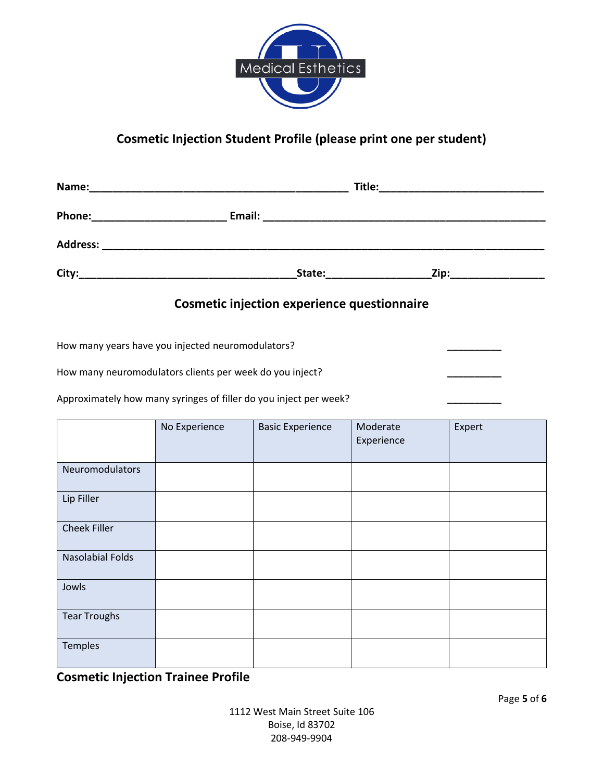

# **Cosmetic Injection Student Profile (please print one per student)**

| <b>Cosmetic injection experience questionnaire</b>                |               |                         |                        |        |  |  |
|-------------------------------------------------------------------|---------------|-------------------------|------------------------|--------|--|--|
| How many years have you injected neuromodulators?                 |               |                         |                        |        |  |  |
| How many neuromodulators clients per week do you inject?          |               |                         |                        |        |  |  |
| Approximately how many syringes of filler do you inject per week? |               |                         |                        |        |  |  |
|                                                                   | No Experience | <b>Basic Experience</b> | Moderate<br>Experience | Expert |  |  |
| Neuromodulators                                                   |               |                         |                        |        |  |  |
| Lip Filler                                                        |               |                         |                        |        |  |  |
| <b>Cheek Filler</b>                                               |               |                         |                        |        |  |  |
| <b>Nasolabial Folds</b>                                           |               |                         |                        |        |  |  |
| Jowls                                                             |               |                         |                        |        |  |  |
| <b>Tear Troughs</b>                                               |               |                         |                        |        |  |  |
| Temples                                                           |               |                         |                        |        |  |  |

**Cosmetic Injection Trainee Profile**